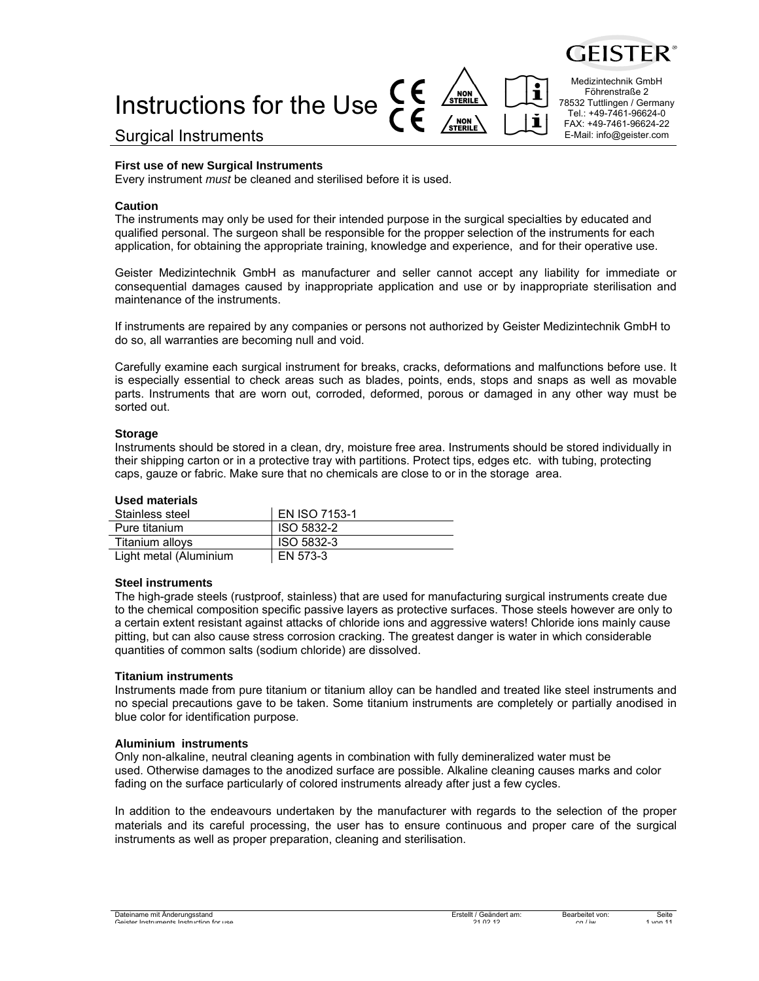

# CE Instructions for the Use

Surgical Instruments

#### **First use of new Surgical Instruments**

Every instrument *must* be cleaned and sterilised before it is used.

#### **Caution**

The instruments may only be used for their intended purpose in the surgical specialties by educated and qualified personal. The surgeon shall be responsible for the propper selection of the instruments for each application, for obtaining the appropriate training, knowledge and experience, and for their operative use.

Geister Medizintechnik GmbH as manufacturer and seller cannot accept any liability for immediate or consequential damages caused by inappropriate application and use or by inappropriate sterilisation and maintenance of the instruments.

If instruments are repaired by any companies or persons not authorized by Geister Medizintechnik GmbH to do so, all warranties are becoming null and void.

Carefully examine each surgical instrument for breaks, cracks, deformations and malfunctions before use. It is especially essential to check areas such as blades, points, ends, stops and snaps as well as movable parts. Instruments that are worn out, corroded, deformed, porous or damaged in any other way must be sorted out.

#### **Storage**

Instruments should be stored in a clean, dry, moisture free area. Instruments should be stored individually in their shipping carton or in a protective tray with partitions. Protect tips, edges etc. with tubing, protecting caps, gauze or fabric. Make sure that no chemicals are close to or in the storage area.

#### **Used materials**

| Stainless steel        | <b>EN ISO 7153-1</b> |
|------------------------|----------------------|
| Pure titanium          | ISO 5832-2           |
| Titanium alloys        | ISO 5832-3           |
| Light metal (Aluminium | EN 573-3             |

#### **Steel instruments**

The high-grade steels (rustproof, stainless) that are used for manufacturing surgical instruments create due to the chemical composition specific passive layers as protective surfaces. Those steels however are only to a certain extent resistant against attacks of chloride ions and aggressive waters! Chloride ions mainly cause pitting, but can also cause stress corrosion cracking. The greatest danger is water in which considerable quantities of common salts (sodium chloride) are dissolved.

#### **Titanium instruments**

Instruments made from pure titanium or titanium alloy can be handled and treated like steel instruments and no special precautions gave to be taken. Some titanium instruments are completely or partially anodised in blue color for identification purpose.

#### **Aluminium instruments**

Only non-alkaline, neutral cleaning agents in combination with fully demineralized water must be used. Otherwise damages to the anodized surface are possible. Alkaline cleaning causes marks and color fading on the surface particularly of colored instruments already after just a few cycles.

In addition to the endeavours undertaken by the manufacturer with regards to the selection of the proper materials and its careful processing, the user has to ensure continuous and proper care of the surgical instruments as well as proper preparation, cleaning and sterilisation.

Medizintechnik GmbH Föhrenstraße 2 78532 Tuttlingen / Germany Tel.: +49-7461-96624-0 FAX: +49-7461-96624-22 E-Mail: info@geister.com

i

ľ

 $\sqrt{\frac{NON}{STERIL}}}$ 

/ <sub>NON</sub> \<br>STERILE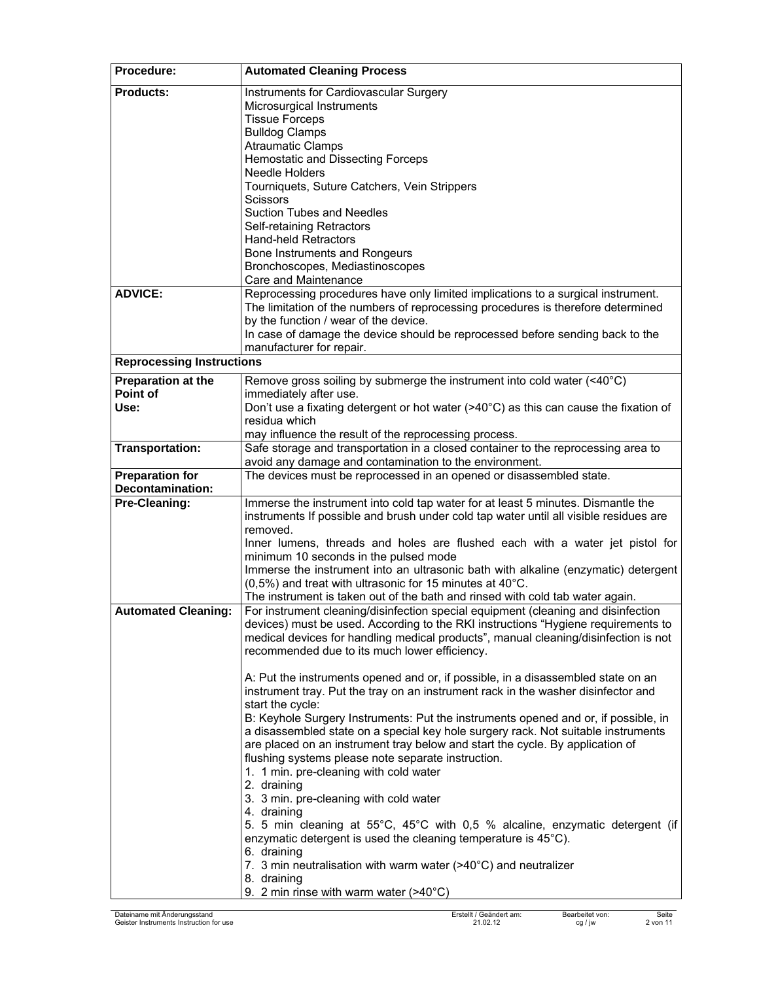| Procedure:                                        | <b>Automated Cleaning Process</b>                                                                                           |
|---------------------------------------------------|-----------------------------------------------------------------------------------------------------------------------------|
| <b>Products:</b>                                  | Instruments for Cardiovascular Surgery                                                                                      |
|                                                   | Microsurgical Instruments                                                                                                   |
|                                                   | <b>Tissue Forceps</b><br><b>Bulldog Clamps</b>                                                                              |
|                                                   | <b>Atraumatic Clamps</b>                                                                                                    |
|                                                   | Hemostatic and Dissecting Forceps                                                                                           |
|                                                   | <b>Needle Holders</b>                                                                                                       |
|                                                   | Tourniquets, Suture Catchers, Vein Strippers                                                                                |
|                                                   | <b>Scissors</b>                                                                                                             |
|                                                   | <b>Suction Tubes and Needles</b>                                                                                            |
|                                                   | Self-retaining Retractors                                                                                                   |
|                                                   | <b>Hand-held Retractors</b><br>Bone Instruments and Rongeurs                                                                |
|                                                   | Bronchoscopes, Mediastinoscopes                                                                                             |
|                                                   | Care and Maintenance                                                                                                        |
| <b>ADVICE:</b>                                    | Reprocessing procedures have only limited implications to a surgical instrument.                                            |
|                                                   | The limitation of the numbers of reprocessing procedures is therefore determined                                            |
|                                                   | by the function / wear of the device.                                                                                       |
|                                                   | In case of damage the device should be reprocessed before sending back to the                                               |
| <b>Reprocessing Instructions</b>                  | manufacturer for repair.                                                                                                    |
|                                                   |                                                                                                                             |
| Preparation at the<br>Point of                    | Remove gross soiling by submerge the instrument into cold water (<40°C)<br>immediately after use.                           |
| Use:                                              | Don't use a fixating detergent or hot water ( $>40^{\circ}$ C) as this can cause the fixation of                            |
|                                                   | residua which                                                                                                               |
|                                                   | may influence the result of the reprocessing process.                                                                       |
| <b>Transportation:</b>                            | Safe storage and transportation in a closed container to the reprocessing area to                                           |
|                                                   | avoid any damage and contamination to the environment.                                                                      |
| <b>Preparation for</b><br><b>Decontamination:</b> | The devices must be reprocessed in an opened or disassembled state.                                                         |
| Pre-Cleaning:                                     | Immerse the instrument into cold tap water for at least 5 minutes. Dismantle the                                            |
|                                                   | instruments If possible and brush under cold tap water until all visible residues are                                       |
|                                                   | removed.                                                                                                                    |
|                                                   | Inner lumens, threads and holes are flushed each with a water jet pistol for                                                |
|                                                   | minimum 10 seconds in the pulsed mode<br>Immerse the instrument into an ultrasonic bath with alkaline (enzymatic) detergent |
|                                                   | $(0,5\%)$ and treat with ultrasonic for 15 minutes at 40 $^{\circ}$ C.                                                      |
|                                                   | The instrument is taken out of the bath and rinsed with cold tab water again.                                               |
| <b>Automated Cleaning:</b>                        | For instrument cleaning/disinfection special equipment (cleaning and disinfection                                           |
|                                                   | devices) must be used. According to the RKI instructions "Hygiene requirements to                                           |
|                                                   | medical devices for handling medical products", manual cleaning/disinfection is not                                         |
|                                                   | recommended due to its much lower efficiency.                                                                               |
|                                                   | A: Put the instruments opened and or, if possible, in a disassembled state on an                                            |
|                                                   | instrument tray. Put the tray on an instrument rack in the washer disinfector and                                           |
|                                                   | start the cycle:                                                                                                            |
|                                                   | B: Keyhole Surgery Instruments: Put the instruments opened and or, if possible, in                                          |
|                                                   | a disassembled state on a special key hole surgery rack. Not suitable instruments                                           |
|                                                   | are placed on an instrument tray below and start the cycle. By application of                                               |
|                                                   | flushing systems please note separate instruction.<br>1. 1 min. pre-cleaning with cold water                                |
|                                                   | 2. draining                                                                                                                 |
|                                                   | 3. 3 min. pre-cleaning with cold water                                                                                      |
|                                                   | 4. draining                                                                                                                 |
|                                                   | 5. 5 min cleaning at 55°C, 45°C with 0,5 % alcaline, enzymatic detergent (if                                                |
|                                                   | enzymatic detergent is used the cleaning temperature is 45°C).                                                              |
|                                                   | 6. draining<br>7. 3 min neutralisation with warm water (>40°C) and neutralizer                                              |
|                                                   | 8. draining                                                                                                                 |
|                                                   | 9. 2 min rinse with warm water $($ >40 $^{\circ}$ C)                                                                        |
|                                                   |                                                                                                                             |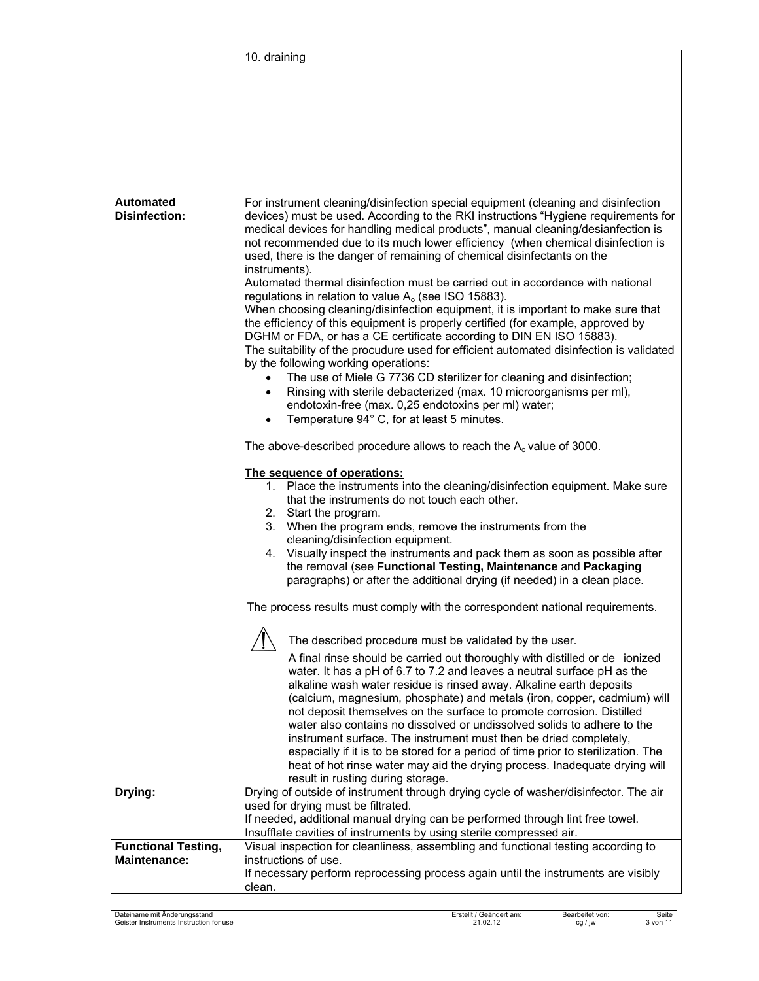|                            | 10. draining                                                                                                                                                                                                                                                                                                                                                                                                                                                                                                                                                                                                                                                                                                                                                                                                                                                                                                                                                                                                                                                                                                                                                                                                                                                                                                                                                                                                                                                                                                                                                                                                                                                                                                                                                                                                                                                      |
|----------------------------|-------------------------------------------------------------------------------------------------------------------------------------------------------------------------------------------------------------------------------------------------------------------------------------------------------------------------------------------------------------------------------------------------------------------------------------------------------------------------------------------------------------------------------------------------------------------------------------------------------------------------------------------------------------------------------------------------------------------------------------------------------------------------------------------------------------------------------------------------------------------------------------------------------------------------------------------------------------------------------------------------------------------------------------------------------------------------------------------------------------------------------------------------------------------------------------------------------------------------------------------------------------------------------------------------------------------------------------------------------------------------------------------------------------------------------------------------------------------------------------------------------------------------------------------------------------------------------------------------------------------------------------------------------------------------------------------------------------------------------------------------------------------------------------------------------------------------------------------------------------------|
|                            |                                                                                                                                                                                                                                                                                                                                                                                                                                                                                                                                                                                                                                                                                                                                                                                                                                                                                                                                                                                                                                                                                                                                                                                                                                                                                                                                                                                                                                                                                                                                                                                                                                                                                                                                                                                                                                                                   |
|                            |                                                                                                                                                                                                                                                                                                                                                                                                                                                                                                                                                                                                                                                                                                                                                                                                                                                                                                                                                                                                                                                                                                                                                                                                                                                                                                                                                                                                                                                                                                                                                                                                                                                                                                                                                                                                                                                                   |
|                            |                                                                                                                                                                                                                                                                                                                                                                                                                                                                                                                                                                                                                                                                                                                                                                                                                                                                                                                                                                                                                                                                                                                                                                                                                                                                                                                                                                                                                                                                                                                                                                                                                                                                                                                                                                                                                                                                   |
|                            |                                                                                                                                                                                                                                                                                                                                                                                                                                                                                                                                                                                                                                                                                                                                                                                                                                                                                                                                                                                                                                                                                                                                                                                                                                                                                                                                                                                                                                                                                                                                                                                                                                                                                                                                                                                                                                                                   |
|                            |                                                                                                                                                                                                                                                                                                                                                                                                                                                                                                                                                                                                                                                                                                                                                                                                                                                                                                                                                                                                                                                                                                                                                                                                                                                                                                                                                                                                                                                                                                                                                                                                                                                                                                                                                                                                                                                                   |
|                            |                                                                                                                                                                                                                                                                                                                                                                                                                                                                                                                                                                                                                                                                                                                                                                                                                                                                                                                                                                                                                                                                                                                                                                                                                                                                                                                                                                                                                                                                                                                                                                                                                                                                                                                                                                                                                                                                   |
|                            |                                                                                                                                                                                                                                                                                                                                                                                                                                                                                                                                                                                                                                                                                                                                                                                                                                                                                                                                                                                                                                                                                                                                                                                                                                                                                                                                                                                                                                                                                                                                                                                                                                                                                                                                                                                                                                                                   |
|                            |                                                                                                                                                                                                                                                                                                                                                                                                                                                                                                                                                                                                                                                                                                                                                                                                                                                                                                                                                                                                                                                                                                                                                                                                                                                                                                                                                                                                                                                                                                                                                                                                                                                                                                                                                                                                                                                                   |
| <b>Automated</b>           | For instrument cleaning/disinfection special equipment (cleaning and disinfection                                                                                                                                                                                                                                                                                                                                                                                                                                                                                                                                                                                                                                                                                                                                                                                                                                                                                                                                                                                                                                                                                                                                                                                                                                                                                                                                                                                                                                                                                                                                                                                                                                                                                                                                                                                 |
| <b>Disinfection:</b>       | devices) must be used. According to the RKI instructions "Hygiene requirements for<br>medical devices for handling medical products", manual cleaning/desianfection is<br>not recommended due to its much lower efficiency (when chemical disinfection is<br>used, there is the danger of remaining of chemical disinfectants on the<br>instruments).<br>Automated thermal disinfection must be carried out in accordance with national<br>regulations in relation to value $A_0$ (see ISO 15883).<br>When choosing cleaning/disinfection equipment, it is important to make sure that<br>the efficiency of this equipment is properly certified (for example, approved by<br>DGHM or FDA, or has a CE certificate according to DIN EN ISO 15883).<br>The suitability of the procudure used for efficient automated disinfection is validated<br>by the following working operations:<br>The use of Miele G 7736 CD sterilizer for cleaning and disinfection;<br>$\bullet$<br>Rinsing with sterile debacterized (max. 10 microorganisms per ml),<br>$\bullet$<br>endotoxin-free (max. 0,25 endotoxins per ml) water;<br>Temperature 94° C, for at least 5 minutes.<br>$\bullet$<br>The above-described procedure allows to reach the $A_0$ value of 3000.<br>The sequence of operations:<br>1. Place the instruments into the cleaning/disinfection equipment. Make sure<br>that the instruments do not touch each other.<br>2. Start the program.<br>3. When the program ends, remove the instruments from the<br>cleaning/disinfection equipment.<br>4. Visually inspect the instruments and pack them as soon as possible after<br>the removal (see Functional Testing, Maintenance and Packaging<br>paragraphs) or after the additional drying (if needed) in a clean place.<br>The process results must comply with the correspondent national requirements. |
|                            | The described procedure must be validated by the user.<br>A final rinse should be carried out thoroughly with distilled or de ionized                                                                                                                                                                                                                                                                                                                                                                                                                                                                                                                                                                                                                                                                                                                                                                                                                                                                                                                                                                                                                                                                                                                                                                                                                                                                                                                                                                                                                                                                                                                                                                                                                                                                                                                             |
|                            | water. It has a pH of 6.7 to 7.2 and leaves a neutral surface pH as the<br>alkaline wash water residue is rinsed away. Alkaline earth deposits<br>(calcium, magnesium, phosphate) and metals (iron, copper, cadmium) will<br>not deposit themselves on the surface to promote corrosion. Distilled<br>water also contains no dissolved or undissolved solids to adhere to the<br>instrument surface. The instrument must then be dried completely,<br>especially if it is to be stored for a period of time prior to sterilization. The<br>heat of hot rinse water may aid the drying process. Inadequate drying will<br>result in rusting during storage.                                                                                                                                                                                                                                                                                                                                                                                                                                                                                                                                                                                                                                                                                                                                                                                                                                                                                                                                                                                                                                                                                                                                                                                                        |
| Drying:                    | Drying of outside of instrument through drying cycle of washer/disinfector. The air                                                                                                                                                                                                                                                                                                                                                                                                                                                                                                                                                                                                                                                                                                                                                                                                                                                                                                                                                                                                                                                                                                                                                                                                                                                                                                                                                                                                                                                                                                                                                                                                                                                                                                                                                                               |
|                            | used for drying must be filtrated.                                                                                                                                                                                                                                                                                                                                                                                                                                                                                                                                                                                                                                                                                                                                                                                                                                                                                                                                                                                                                                                                                                                                                                                                                                                                                                                                                                                                                                                                                                                                                                                                                                                                                                                                                                                                                                |
|                            | If needed, additional manual drying can be performed through lint free towel.<br>Insufflate cavities of instruments by using sterile compressed air.                                                                                                                                                                                                                                                                                                                                                                                                                                                                                                                                                                                                                                                                                                                                                                                                                                                                                                                                                                                                                                                                                                                                                                                                                                                                                                                                                                                                                                                                                                                                                                                                                                                                                                              |
| <b>Functional Testing,</b> | Visual inspection for cleanliness, assembling and functional testing according to                                                                                                                                                                                                                                                                                                                                                                                                                                                                                                                                                                                                                                                                                                                                                                                                                                                                                                                                                                                                                                                                                                                                                                                                                                                                                                                                                                                                                                                                                                                                                                                                                                                                                                                                                                                 |
| <b>Maintenance:</b>        | instructions of use.                                                                                                                                                                                                                                                                                                                                                                                                                                                                                                                                                                                                                                                                                                                                                                                                                                                                                                                                                                                                                                                                                                                                                                                                                                                                                                                                                                                                                                                                                                                                                                                                                                                                                                                                                                                                                                              |
|                            | If necessary perform reprocessing process again until the instruments are visibly                                                                                                                                                                                                                                                                                                                                                                                                                                                                                                                                                                                                                                                                                                                                                                                                                                                                                                                                                                                                                                                                                                                                                                                                                                                                                                                                                                                                                                                                                                                                                                                                                                                                                                                                                                                 |
|                            | clean.                                                                                                                                                                                                                                                                                                                                                                                                                                                                                                                                                                                                                                                                                                                                                                                                                                                                                                                                                                                                                                                                                                                                                                                                                                                                                                                                                                                                                                                                                                                                                                                                                                                                                                                                                                                                                                                            |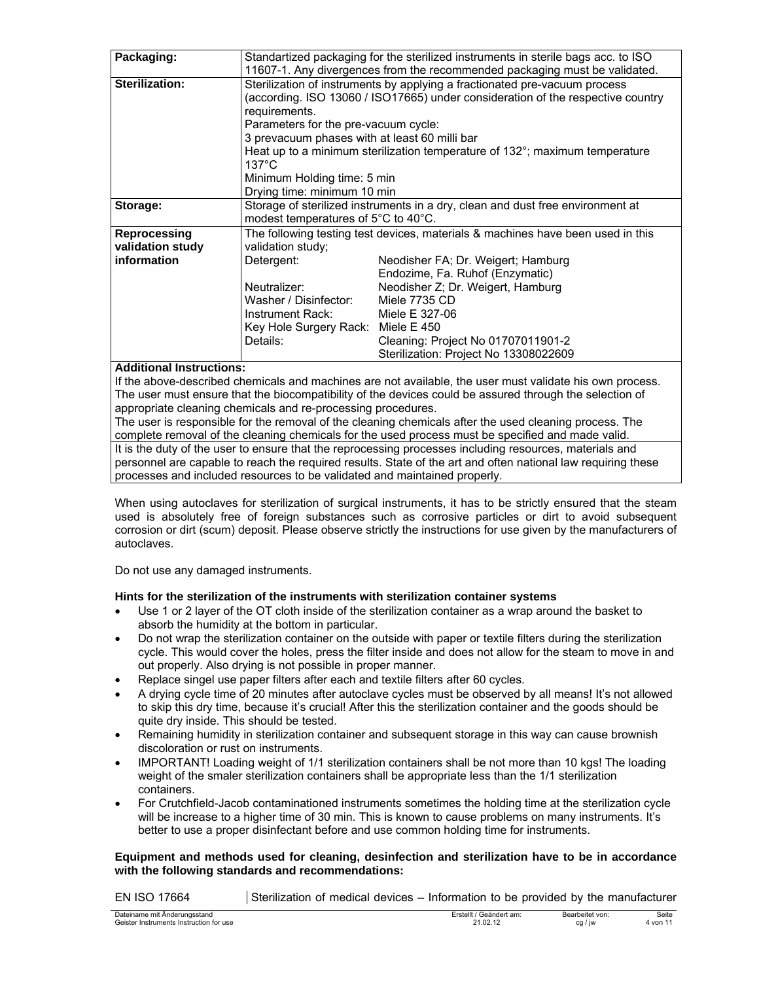| Packaging:                                                                                                                                                                                                                        |                                                                                                                                                                                                                                                                                                                                                                                     | Standartized packaging for the sterilized instruments in sterile bags acc. to ISO<br>11607-1. Any divergences from the recommended packaging must be validated. |
|-----------------------------------------------------------------------------------------------------------------------------------------------------------------------------------------------------------------------------------|-------------------------------------------------------------------------------------------------------------------------------------------------------------------------------------------------------------------------------------------------------------------------------------------------------------------------------------------------------------------------------------|-----------------------------------------------------------------------------------------------------------------------------------------------------------------|
| <b>Sterilization:</b>                                                                                                                                                                                                             | Sterilization of instruments by applying a fractionated pre-vacuum process<br>(according. ISO 13060 / ISO17665) under consideration of the respective country<br>requirements.<br>Parameters for the pre-vacuum cycle:<br>3 prevacuum phases with at least 60 milli bar<br>Heat up to a minimum sterilization temperature of $132^{\circ}$ ; maximum temperature<br>$137^{\circ}$ C |                                                                                                                                                                 |
|                                                                                                                                                                                                                                   | Minimum Holding time: 5 min                                                                                                                                                                                                                                                                                                                                                         |                                                                                                                                                                 |
|                                                                                                                                                                                                                                   | Drying time: minimum 10 min                                                                                                                                                                                                                                                                                                                                                         |                                                                                                                                                                 |
| Storage:                                                                                                                                                                                                                          | modest temperatures of 5°C to 40°C.                                                                                                                                                                                                                                                                                                                                                 | Storage of sterilized instruments in a dry, clean and dust free environment at                                                                                  |
| Reprocessing                                                                                                                                                                                                                      |                                                                                                                                                                                                                                                                                                                                                                                     | The following testing test devices, materials & machines have been used in this                                                                                 |
| validation study                                                                                                                                                                                                                  | validation study;                                                                                                                                                                                                                                                                                                                                                                   |                                                                                                                                                                 |
| information                                                                                                                                                                                                                       | Detergent:                                                                                                                                                                                                                                                                                                                                                                          | Neodisher FA; Dr. Weigert; Hamburg                                                                                                                              |
|                                                                                                                                                                                                                                   |                                                                                                                                                                                                                                                                                                                                                                                     | Endozime, Fa. Ruhof (Enzymatic)                                                                                                                                 |
|                                                                                                                                                                                                                                   | Neutralizer:                                                                                                                                                                                                                                                                                                                                                                        | Neodisher Z; Dr. Weigert, Hamburg                                                                                                                               |
|                                                                                                                                                                                                                                   | Washer / Disinfector:                                                                                                                                                                                                                                                                                                                                                               | Miele 7735 CD                                                                                                                                                   |
|                                                                                                                                                                                                                                   | Instrument Rack:                                                                                                                                                                                                                                                                                                                                                                    | Miele E 327-06                                                                                                                                                  |
|                                                                                                                                                                                                                                   | Key Hole Surgery Rack: Miele E 450                                                                                                                                                                                                                                                                                                                                                  |                                                                                                                                                                 |
|                                                                                                                                                                                                                                   | Details:                                                                                                                                                                                                                                                                                                                                                                            | Cleaning: Project No 01707011901-2                                                                                                                              |
|                                                                                                                                                                                                                                   |                                                                                                                                                                                                                                                                                                                                                                                     | Sterilization: Project No 13308022609                                                                                                                           |
| $\mathbf{A}$ , and the second contract of the second contract of the second contract of the second contract of the second contract of the second contract of the second contract of the second contract of the second contract of |                                                                                                                                                                                                                                                                                                                                                                                     |                                                                                                                                                                 |

#### **Additional Instructions:**

If the above-described chemicals and machines are not available, the user must validate his own process. The user must ensure that the biocompatibility of the devices could be assured through the selection of appropriate cleaning chemicals and re-processing procedures.

The user is responsible for the removal of the cleaning chemicals after the used cleaning process. The complete removal of the cleaning chemicals for the used process must be specified and made valid.

It is the duty of the user to ensure that the reprocessing processes including resources, materials and personnel are capable to reach the required results. State of the art and often national law requiring these processes and included resources to be validated and maintained properly.

When using autoclaves for sterilization of surgical instruments, it has to be strictly ensured that the steam used is absolutely free of foreign substances such as corrosive particles or dirt to avoid subsequent corrosion or dirt (scum) deposit. Please observe strictly the instructions for use given by the manufacturers of autoclaves.

Do not use any damaged instruments.

### **Hints for the sterilization of the instruments with sterilization container systems**

- Use 1 or 2 layer of the OT cloth inside of the sterilization container as a wrap around the basket to absorb the humidity at the bottom in particular.
- Do not wrap the sterilization container on the outside with paper or textile filters during the sterilization cycle. This would cover the holes, press the filter inside and does not allow for the steam to move in and out properly. Also drying is not possible in proper manner.
- Replace singel use paper filters after each and textile filters after 60 cycles.
- A drying cycle time of 20 minutes after autoclave cycles must be observed by all means! It's not allowed to skip this dry time, because it's crucial! After this the sterilization container and the goods should be quite dry inside. This should be tested.
- Remaining humidity in sterilization container and subsequent storage in this way can cause brownish discoloration or rust on instruments.
- IMPORTANT! Loading weight of 1/1 sterilization containers shall be not more than 10 kgs! The loading weight of the smaler sterilization containers shall be appropriate less than the 1/1 sterilization containers.
- For Crutchfield-Jacob contaminationed instruments sometimes the holding time at the sterilization cycle will be increase to a higher time of 30 min. This is known to cause problems on many instruments. It's better to use a proper disinfectant before and use common holding time for instruments.

#### **Equipment and methods used for cleaning, desinfection and sterilization have to be in accordance with the following standards and recommendations:**

| EN ISO 17664 | Sterilization of medical devices – Information to be provided by the manufacturer |  |  |
|--------------|-----------------------------------------------------------------------------------|--|--|
|              |                                                                                   |  |  |

| Dateiname mit<br>' Anderungsstand           | Geändert am:<br><b>rste</b><br>___<br>. | Bearbe<br>eitet von. | Seite<br>. |
|---------------------------------------------|-----------------------------------------|----------------------|------------|
| Geiste<br>r Instruments Instruction for use | ົາ 1<br>$\sim$<br>2 I JZ 12             | cq<br>١W             | 4 von      |